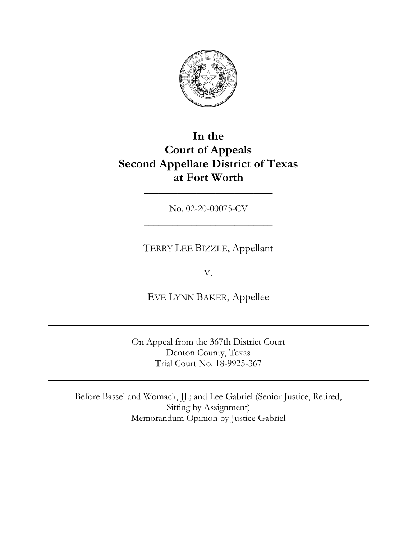

# **In the Court of Appeals Second Appellate District of Texas at Fort Worth**

No. 02-20-00075-CV \_\_\_\_\_\_\_\_\_\_\_\_\_\_\_\_\_\_\_\_\_\_\_\_\_\_\_

\_\_\_\_\_\_\_\_\_\_\_\_\_\_\_\_\_\_\_\_\_\_\_\_\_\_\_

TERRY LEE BIZZLE, Appellant

V.

EVE LYNN BAKER, Appellee

On Appeal from the 367th District Court Denton County, Texas Trial Court No. 18-9925-367

Before Bassel and Womack, JJ.; and Lee Gabriel (Senior Justice, Retired, Sitting by Assignment) Memorandum Opinion by Justice Gabriel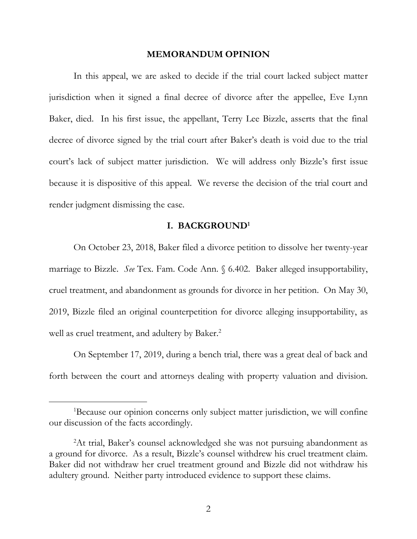### **MEMORANDUM OPINION**

In this appeal, we are asked to decide if the trial court lacked subject matter jurisdiction when it signed a final decree of divorce after the appellee, Eve Lynn Baker, died. In his first issue, the appellant, Terry Lee Bizzle, asserts that the final decree of divorce signed by the trial court after Baker's death is void due to the trial court's lack of subject matter jurisdiction. We will address only Bizzle's first issue because it is dispositive of this appeal. We reverse the decision of the trial court and render judgment dismissing the case.

## **I. BACKGROUND<sup>1</sup>**

On October 23, 2018, Baker filed a divorce petition to dissolve her twenty-year marriage to Bizzle. *See* Tex. Fam. Code Ann. § 6.402. Baker alleged insupportability, cruel treatment, and abandonment as grounds for divorce in her petition. On May 30, 2019, Bizzle filed an original counterpetition for divorce alleging insupportability, as well as cruel treatment, and adultery by Baker.<sup>2</sup>

On September 17, 2019, during a bench trial, there was a great deal of back and forth between the court and attorneys dealing with property valuation and division.

<sup>&</sup>lt;sup>1</sup>Because our opinion concerns only subject matter jurisdiction, we will confine our discussion of the facts accordingly.

<sup>2</sup>At trial, Baker's counsel acknowledged she was not pursuing abandonment as a ground for divorce. As a result, Bizzle's counsel withdrew his cruel treatment claim. Baker did not withdraw her cruel treatment ground and Bizzle did not withdraw his adultery ground. Neither party introduced evidence to support these claims.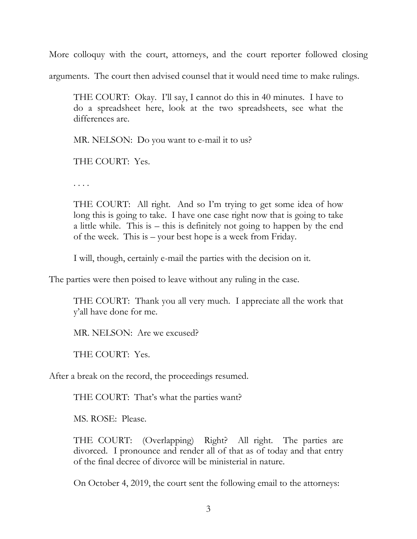More colloquy with the court, attorneys, and the court reporter followed closing

arguments. The court then advised counsel that it would need time to make rulings.

THE COURT: Okay. I'll say, I cannot do this in 40 minutes. I have to do a spreadsheet here, look at the two spreadsheets, see what the differences are.

MR. NELSON: Do you want to e-mail it to us?

THE COURT: Yes.

. . . .

THE COURT: All right. And so I'm trying to get some idea of how long this is going to take. I have one case right now that is going to take a little while. This is – this is definitely not going to happen by the end of the week. This is – your best hope is a week from Friday.

I will, though, certainly e-mail the parties with the decision on it.

The parties were then poised to leave without any ruling in the case.

THE COURT: Thank you all very much. I appreciate all the work that y'all have done for me.

MR. NELSON: Are we excused?

THE COURT: Yes.

After a break on the record, the proceedings resumed.

THE COURT: That's what the parties want?

MS. ROSE: Please.

THE COURT: (Overlapping) Right? All right. The parties are divorced. I pronounce and render all of that as of today and that entry of the final decree of divorce will be ministerial in nature.

On October 4, 2019, the court sent the following email to the attorneys: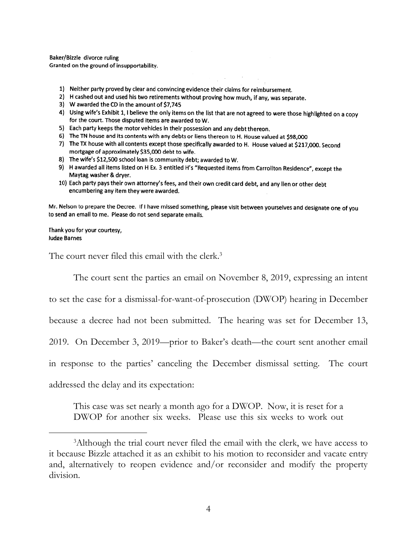Baker/Bizzle divorce ruling Granted on the ground of insupportability.

- 1) Neither party proved by clear and convincing evidence their claims for reimbursement.
- 2) H cashed out and used his two retirements without proving how much, if any, was separate.
- 3) W awarded the CD in the amount of \$7,745
- 4) Using wife's Exhibit 1, I believe the only items on the list that are not agreed to were those highlighted on a copy for the court. Those disputed items are awarded to W.
- 5) Each party keeps the motor vehicles in their possession and any debt thereon.
- 6) The TN house and its contents with any debts or liens thereon to H. House valued at \$98,000
- 7) The TX house with all contents except those specifically awarded to H. House valued at \$217,000. Second mortgage of approximately \$35,000 debt to wife.
- 8) The wife's \$12,500 school loan is community debt; awarded to W.
- 9) H awarded all items listed on H Ex. 3 entitled H's "Requested items from Carrollton Residence", except the Maytag washer & dryer.
- 10) Each party pays their own attorney's fees, and their own credit card debt, and any lien or other debt encumbering any item they were awarded.

Mr. Nelson to prepare the Decree. If I have missed something, please visit between yourselves and designate one of you to send an email to me. Please do not send separate emails.

Thank you for your courtesy, Judge Barnes

The court never filed this email with the clerk.<sup>3</sup>

The court sent the parties an email on November 8, 2019, expressing an intent

to set the case for a dismissal-for-want-of-prosecution (DWOP) hearing in December

because a decree had not been submitted. The hearing was set for December 13,

2019. On December 3, 2019—prior to Baker's death—the court sent another email

in response to the parties' canceling the December dismissal setting. The court

addressed the delay and its expectation:

This case was set nearly a month ago for a DWOP. Now, it is reset for a DWOP for another six weeks. Please use this six weeks to work out

<sup>&</sup>lt;sup>3</sup>Although the trial court never filed the email with the clerk, we have access to it because Bizzle attached it as an exhibit to his motion to reconsider and vacate entry and, alternatively to reopen evidence and/or reconsider and modify the property division.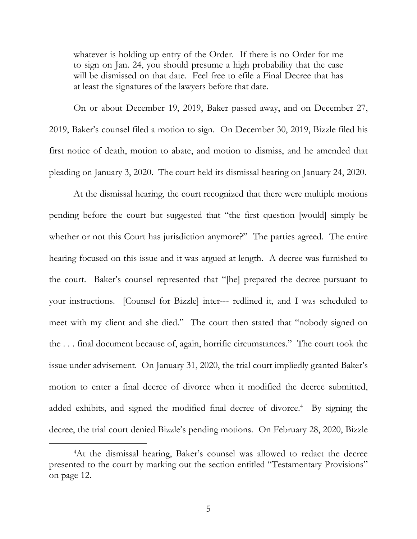whatever is holding up entry of the Order. If there is no Order for me to sign on Jan. 24, you should presume a high probability that the case will be dismissed on that date. Feel free to efile a Final Decree that has at least the signatures of the lawyers before that date.

On or about December 19, 2019, Baker passed away, and on December 27, 2019, Baker's counsel filed a motion to sign. On December 30, 2019, Bizzle filed his first notice of death, motion to abate, and motion to dismiss, and he amended that pleading on January 3, 2020. The court held its dismissal hearing on January 24, 2020.

At the dismissal hearing, the court recognized that there were multiple motions pending before the court but suggested that "the first question [would] simply be whether or not this Court has jurisdiction anymore?" The parties agreed. The entire hearing focused on this issue and it was argued at length. A decree was furnished to the court. Baker's counsel represented that "[he] prepared the decree pursuant to your instructions. [Counsel for Bizzle] inter--- redlined it, and I was scheduled to meet with my client and she died." The court then stated that "nobody signed on the . . . final document because of, again, horrific circumstances." The court took the issue under advisement. On January 31, 2020, the trial court impliedly granted Baker's motion to enter a final decree of divorce when it modified the decree submitted, added exhibits, and signed the modified final decree of divorce.<sup>4</sup> By signing the decree, the trial court denied Bizzle's pending motions. On February 28, 2020, Bizzle

<sup>&</sup>lt;sup>4</sup>At the dismissal hearing, Baker's counsel was allowed to redact the decree presented to the court by marking out the section entitled "Testamentary Provisions" on page 12.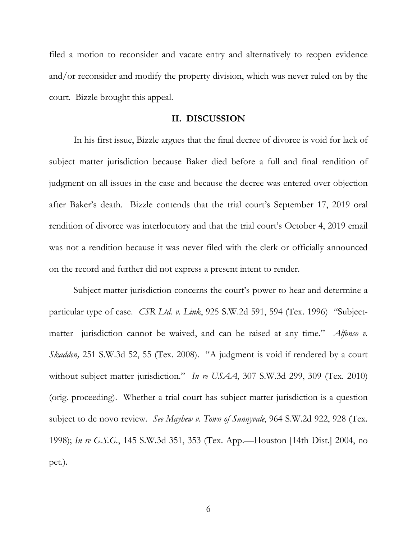filed a motion to reconsider and vacate entry and alternatively to reopen evidence and/or reconsider and modify the property division, which was never ruled on by the court. Bizzle brought this appeal.

## **II. DISCUSSION**

In his first issue, Bizzle argues that the final decree of divorce is void for lack of subject matter jurisdiction because Baker died before a full and final rendition of judgment on all issues in the case and because the decree was entered over objection after Baker's death. Bizzle contends that the trial court's September 17, 2019 oral rendition of divorce was interlocutory and that the trial court's October 4, 2019 email was not a rendition because it was never filed with the clerk or officially announced on the record and further did not express a present intent to render.

Subject matter jurisdiction concerns the court's power to hear and determine a particular type of case. *CSR Ltd. v. Link*, 925 S.W.2d 591, 594 (Tex. 1996) "Subjectmatter jurisdiction cannot be waived, and can be raised at any time." *Alfonso v. Skadden,* 251 S.W.3d 52, 55 (Tex. 2008). "A judgment is void if rendered by a court without subject matter jurisdiction." *In re USAA*, 307 S.W.3d 299, 309 (Tex. 2010) (orig. proceeding). Whether a trial court has subject matter jurisdiction is a question subject to de novo review. *See Mayhew v. Town of Sunnyvale*, 964 S.W.2d 922, 928 (Tex. 1998); *In re G.S.G.*, 145 S.W.3d 351, 353 (Tex. App.—Houston [14th Dist.] 2004, no pet.).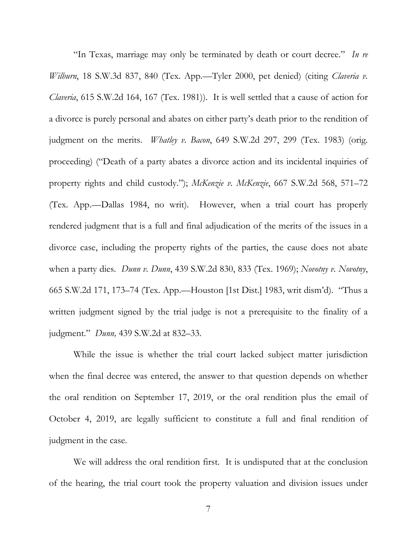"In Texas, marriage may only be terminated by death or court decree." *In re Wilburn*, 18 S.W.3d 837, 840 (Tex. App.—Tyler 2000, pet denied) (citing *Claveria v. Claveria*, 615 S.W.2d 164, 167 (Tex. 1981)). It is well settled that a cause of action for a divorce is purely personal and abates on either party's death prior to the rendition of judgment on the merits. *Whatley v. Bacon*, 649 S.W.2d 297, 299 (Tex. 1983) (orig. proceeding) ("Death of a party abates a divorce action and its incidental inquiries of property rights and child custody."); *McKenzie v. McKenzie*, 667 S.W.2d 568, 571–72 (Tex. App.—Dallas 1984, no writ). However, when a trial court has properly rendered judgment that is a full and final adjudication of the merits of the issues in a divorce case, including the property rights of the parties, the cause does not abate when a party dies. *Dunn v. Dunn*, 439 S.W.2d 830, 833 (Tex. 1969); *Novotny v. Novotny*, 665 S.W.2d 171, 173–74 (Tex. App.—Houston [1st Dist.] 1983, writ dism'd). "Thus a written judgment signed by the trial judge is not a prerequisite to the finality of a judgment." *Dunn,* 439 S.W.2d at 832–33.

While the issue is whether the trial court lacked subject matter jurisdiction when the final decree was entered, the answer to that question depends on whether the oral rendition on September 17, 2019, or the oral rendition plus the email of October 4, 2019, are legally sufficient to constitute a full and final rendition of judgment in the case.

We will address the oral rendition first. It is undisputed that at the conclusion of the hearing, the trial court took the property valuation and division issues under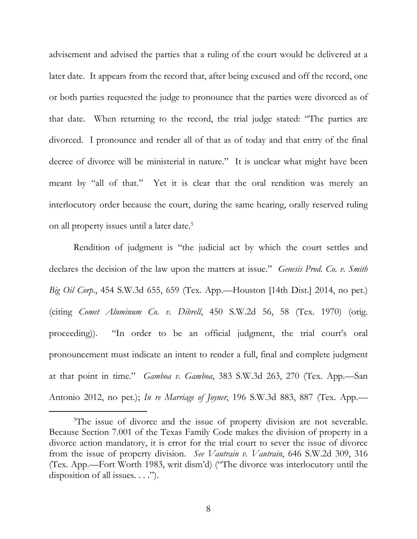advisement and advised the parties that a ruling of the court would be delivered at a later date. It appears from the record that, after being excused and off the record, one or both parties requested the judge to pronounce that the parties were divorced as of that date. When returning to the record, the trial judge stated: "The parties are divorced. I pronounce and render all of that as of today and that entry of the final decree of divorce will be ministerial in nature." It is unclear what might have been meant by "all of that." Yet it is clear that the oral rendition was merely an interlocutory order because the court, during the same hearing, orally reserved ruling on all property issues until a later date.<sup>5</sup>

Rendition of judgment is "the judicial act by which the court settles and declares the decision of the law upon the matters at issue." *Genesis Prod. Co. v. Smith Big Oil Corp*., 454 S.W.3d 655, 659 (Tex. App.—Houston [14th Dist.] 2014, no pet.) (citing *Comet Aluminum Co. v. Dibrell*, 450 S.W.2d 56, 58 (Tex. 1970) (orig. proceeding)). "In order to be an official judgment, the trial court's oral pronouncement must indicate an intent to render a full, final and complete judgment at that point in time." *Gamboa v. Gamboa*, 383 S.W.3d 263, 270 (Tex. App.—San Antonio 2012, no pet.); *In re Marriage of Joyner*, 196 S.W.3d 883, 887 (Tex. App.—

<sup>&</sup>lt;sup>5</sup>The issue of divorce and the issue of property division are not severable. Because Section 7.001 of the Texas Family Code makes the division of property in a divorce action mandatory, it is error for the trial court to sever the issue of divorce from the issue of property division. *See Vautrain v. Vautrain*, 646 S.W.2d 309, 316 (Tex. App.—Fort Worth 1983, writ dism'd) ("The divorce was interlocutory until the disposition of all issues.  $\ldots$ ").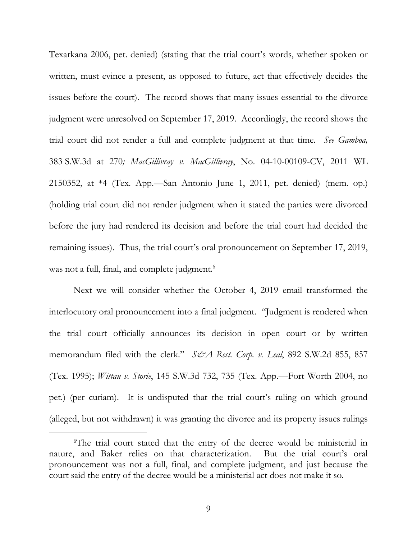Texarkana 2006, pet. denied) (stating that the trial court's words, whether spoken or written, must evince a present, as opposed to future, act that effectively decides the issues before the court). The record shows that many issues essential to the divorce judgment were unresolved on September 17, 2019. Accordingly, the record shows the trial court did not render a full and complete judgment at that time*. See Gamboa,* 383 S.W.3d at 270*; MacGillivray v. MacGillivray*, No. 04-10-00109-CV, 2011 WL 2150352, at \*4 (Tex. App.—San Antonio June 1, 2011, pet. denied) (mem. op.) (holding trial court did not render judgment when it stated the parties were divorced before the jury had rendered its decision and before the trial court had decided the remaining issues).Thus, the trial court's oral pronouncement on September 17, 2019, was not a full, final, and complete judgment. 6

Next we will consider whether the October 4, 2019 email transformed the interlocutory oral pronouncement into a final judgment. "Judgment is rendered when the trial court officially announces its decision in open court or by written memorandum filed with the clerk." *S&A Rest. Corp. v. Leal*, 892 S.W.2d 855, 857 (Tex. 1995); *Wittau v. Storie*, 145 S.W.3d 732, 735 (Tex. App.—Fort Worth 2004, no pet.) (per curiam). It is undisputed that the trial court's ruling on which ground (alleged, but not withdrawn) it was granting the divorce and its property issues rulings

<sup>6</sup>The trial court stated that the entry of the decree would be ministerial in nature, and Baker relies on that characterization. But the trial court's oral pronouncement was not a full, final, and complete judgment, and just because the court said the entry of the decree would be a ministerial act does not make it so.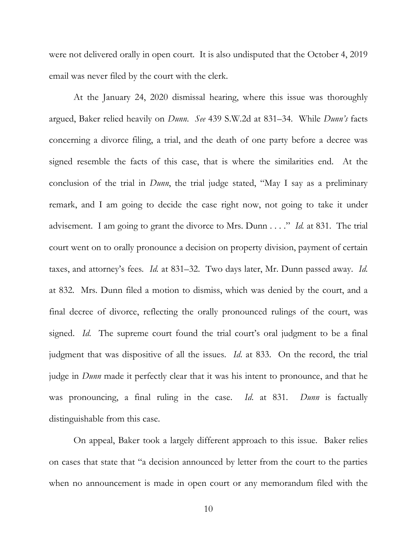were not delivered orally in open court. It is also undisputed that the October 4, 2019 email was never filed by the court with the clerk.

At the January 24, 2020 dismissal hearing, where this issue was thoroughly argued, Baker relied heavily on *Dunn*. *See* 439 S.W.2d at 831–34. While *Dunn's* facts concerning a divorce filing, a trial, and the death of one party before a decree was signed resemble the facts of this case, that is where the similarities end. At the conclusion of the trial in *Dunn*, the trial judge stated, "May I say as a preliminary remark, and I am going to decide the case right now, not going to take it under advisement. I am going to grant the divorce to Mrs. Dunn . . . ." *Id.* at 831. The trial court went on to orally pronounce a decision on property division, payment of certain taxes, and attorney's fees*. Id.* at 831–32. Two days later, Mr. Dunn passed away. *Id*. at 832. Mrs. Dunn filed a motion to dismiss, which was denied by the court, and a final decree of divorce, reflecting the orally pronounced rulings of the court, was signed. *Id.* The supreme court found the trial court's oral judgment to be a final judgment that was dispositive of all the issues. *Id*. at 833. On the record, the trial judge in *Dunn* made it perfectly clear that it was his intent to pronounce, and that he was pronouncing, a final ruling in the case. *Id*. at 831. *Dunn* is factually distinguishable from this case.

On appeal, Baker took a largely different approach to this issue. Baker relies on cases that state that "a decision announced by letter from the court to the parties when no announcement is made in open court or any memorandum filed with the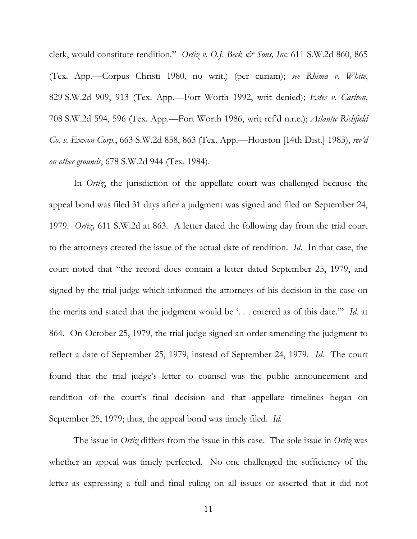clerk, would constitute rendition." *Ortiz v. O.J. Beck & Sons, Inc.* 611 S.W.2d 860, 865 (Tex. App.—Corpus Christi 1980, no writ.) (per curiam); *see Rhima v. White*, 829 S.W.2d 909, 913 (Tex. App.—Fort Worth 1992, writ denied); *Estes v. Carlton*, 708 S.W.2d 594, 596 (Tex. App.—Fort Worth 1986, writ ref'd n.r.e.); *Atlantic Richfield Co. v. Exxon Corp*., 663 S.W.2d 858, 863 (Tex. App.—Houston [14th Dist.] 1983), *rev'd on other grounds*, 678 S.W.2d 944 (Tex. 1984).

In *Ortiz*, the jurisdiction of the appellate court was challenged because the appeal bond was filed 31 days after a judgment was signed and filed on September 24, 1979. *Ortiz,* 611 S.W.2d at 863. A letter dated the following day from the trial court to the attorneys created the issue of the actual date of rendition. *Id*. In that case, the court noted that "the record does contain a letter dated September 25, 1979, and signed by the trial judge which informed the attorneys of his decision in the case on the merits and stated that the judgment would be '. . . entered as of this date.'" *Id.* at 864. On October 25, 1979, the trial judge signed an order amending the judgment to reflect a date of September 25, 1979, instead of September 24, 1979. *Id*. The court found that the trial judge's letter to counsel was the public announcement and rendition of the court's final decision and that appellate timelines began on September 25, 1979; thus, the appeal bond was timely filed. *Id*.

The issue in *Ortiz* differs from the issue in this case. The sole issue in *Ortiz* was whether an appeal was timely perfected. No one challenged the sufficiency of the letter as expressing a full and final ruling on all issues or asserted that it did not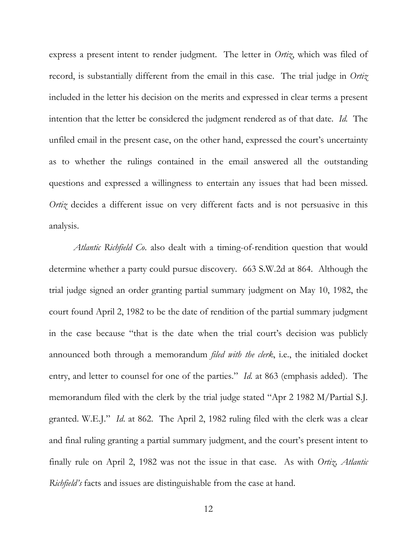express a present intent to render judgment. The letter in *Ortiz*, which was filed of record, is substantially different from the email in this case. The trial judge in *Ortiz* included in the letter his decision on the merits and expressed in clear terms a present intention that the letter be considered the judgment rendered as of that date. *Id.* The unfiled email in the present case, on the other hand, expressed the court's uncertainty as to whether the rulings contained in the email answered all the outstanding questions and expressed a willingness to entertain any issues that had been missed. *Ortiz* decides a different issue on very different facts and is not persuasive in this analysis.

*Atlantic Richfield Co*. also dealt with a timing-of-rendition question that would determine whether a party could pursue discovery. 663 S.W.2d at 864. Although the trial judge signed an order granting partial summary judgment on May 10, 1982, the court found April 2, 1982 to be the date of rendition of the partial summary judgment in the case because "that is the date when the trial court's decision was publicly announced both through a memorandum *filed with the clerk*, i.e., the initialed docket entry, and letter to counsel for one of the parties." *Id*. at 863 (emphasis added). The memorandum filed with the clerk by the trial judge stated "Apr 2 1982 M/Partial S.J. granted. W.E.J." *Id*. at 862. The April 2, 1982 ruling filed with the clerk was a clear and final ruling granting a partial summary judgment, and the court's present intent to finally rule on April 2, 1982 was not the issue in that case. As with *Ortiz, Atlantic Richfield's* facts and issues are distinguishable from the case at hand.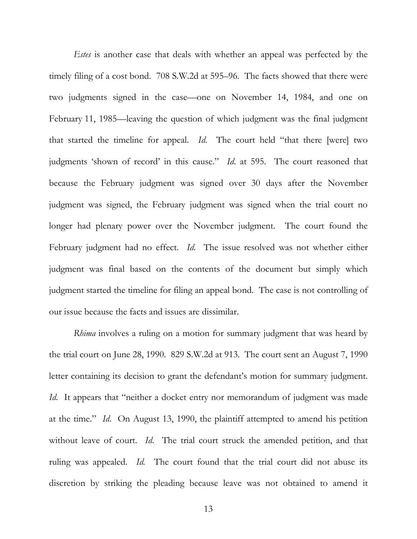*Estes* is another case that deals with whether an appeal was perfected by the timely filing of a cost bond. 708 S.W.2d at 595–96. The facts showed that there were two judgments signed in the case—one on November 14, 1984, and one on February 11, 1985—leaving the question of which judgment was the final judgment that started the timeline for appeal. *Id*. The court held "that there [were] two judgments 'shown of record' in this cause." *Id*. at 595. The court reasoned that because the February judgment was signed over 30 days after the November judgment was signed, the February judgment was signed when the trial court no longer had plenary power over the November judgment. The court found the February judgment had no effect. *Id*. The issue resolved was not whether either judgment was final based on the contents of the document but simply which judgment started the timeline for filing an appeal bond. The case is not controlling of our issue because the facts and issues are dissimilar.

*Rhima* involves a ruling on a motion for summary judgment that was heard by the trial court on June 28, 1990. 829 S.W.2d at 913. The court sent an August 7, 1990 letter containing its decision to grant the defendant's motion for summary judgment. *Id.* It appears that "neither a docket entry nor memorandum of judgment was made at the time." *Id*. On August 13, 1990, the plaintiff attempted to amend his petition without leave of court. *Id*. The trial court struck the amended petition, and that ruling was appealed. *Id.* The court found that the trial court did not abuse its discretion by striking the pleading because leave was not obtained to amend it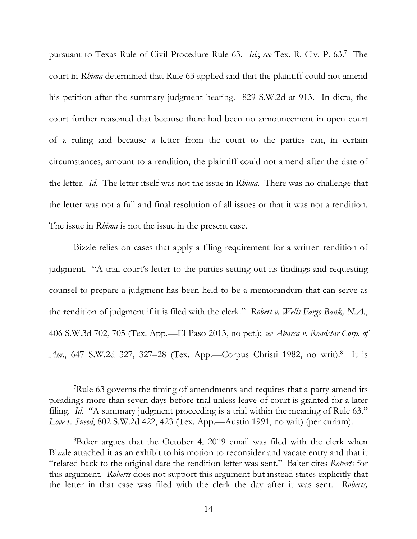pursuant to Texas Rule of Civil Procedure Rule 63. *Id*.; *see* Tex. R. Civ. P. 63.<sup>7</sup> The court in *Rhima* determined that Rule 63 applied and that the plaintiff could not amend his petition after the summary judgment hearing. 829 S.W.2d at 913. In dicta, the court further reasoned that because there had been no announcement in open court of a ruling and because a letter from the court to the parties can, in certain circumstances, amount to a rendition, the plaintiff could not amend after the date of the letter. *Id*. The letter itself was not the issue in *Rhima*. There was no challenge that the letter was not a full and final resolution of all issues or that it was not a rendition. The issue in *Rhima* is not the issue in the present case.

Bizzle relies on cases that apply a filing requirement for a written rendition of judgment. "A trial court's letter to the parties setting out its findings and requesting counsel to prepare a judgment has been held to be a memorandum that can serve as the rendition of judgment if it is filed with the clerk." *Robert v. Wells Fargo Bank, N.A.*, 406 S.W.3d 702, 705 (Tex. App.—El Paso 2013, no pet.); *see Abarca v. Roadstar Corp. of* Am., 647 S.W.2d 327, 327-28 (Tex. App.—Corpus Christi 1982, no writ).<sup>8</sup> It is

<sup>7</sup>Rule 63 governs the timing of amendments and requires that a party amend its pleadings more than seven days before trial unless leave of court is granted for a later filing. *Id.* "A summary judgment proceeding is a trial within the meaning of Rule 63." *Love v. Sneed*, 802 S.W.2d 422, 423 (Tex. App.—Austin 1991, no writ) (per curiam).

<sup>8</sup>Baker argues that the October 4, 2019 email was filed with the clerk when Bizzle attached it as an exhibit to his motion to reconsider and vacate entry and that it "related back to the original date the rendition letter was sent." Baker cites *Roberts* for this argument. *Roberts* does not support this argument but instead states explicitly that the letter in that case was filed with the clerk the day after it was sent. *Roberts,*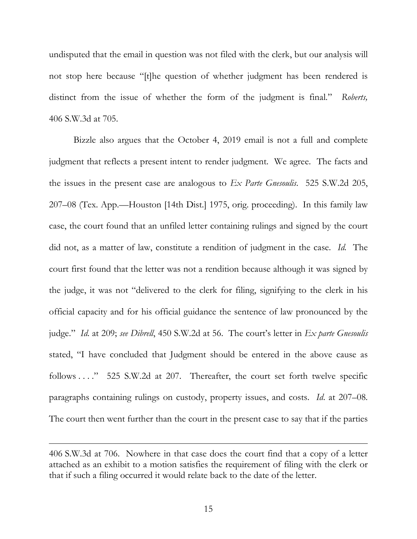undisputed that the email in question was not filed with the clerk, but our analysis will not stop here because "[t]he question of whether judgment has been rendered is distinct from the issue of whether the form of the judgment is final." *Roberts,* 406 S.W.3d at 705.

Bizzle also argues that the October 4, 2019 email is not a full and complete judgment that reflects a present intent to render judgment. We agree. The facts and the issues in the present case are analogous to *Ex Parte Gnesoulis*. 525 S.W.2d 205, 207–08 (Tex. App.—Houston [14th Dist.] 1975, orig. proceeding). In this family law case, the court found that an unfiled letter containing rulings and signed by the court did not, as a matter of law, constitute a rendition of judgment in the case. *Id.* The court first found that the letter was not a rendition because although it was signed by the judge, it was not "delivered to the clerk for filing, signifying to the clerk in his official capacity and for his official guidance the sentence of law pronounced by the judge." *Id*. at 209; *see Dibrell*, 450 S.W.2d at 56. The court's letter in *Ex parte Gnesoulis* stated, "I have concluded that Judgment should be entered in the above cause as follows . . . . " 525 S.W.2d at 207. Thereafter, the court set forth twelve specific paragraphs containing rulings on custody, property issues, and costs. *Id*. at 207–08. The court then went further than the court in the present case to say that if the parties

<sup>406</sup> S.W.3d at 706. Nowhere in that case does the court find that a copy of a letter attached as an exhibit to a motion satisfies the requirement of filing with the clerk or that if such a filing occurred it would relate back to the date of the letter.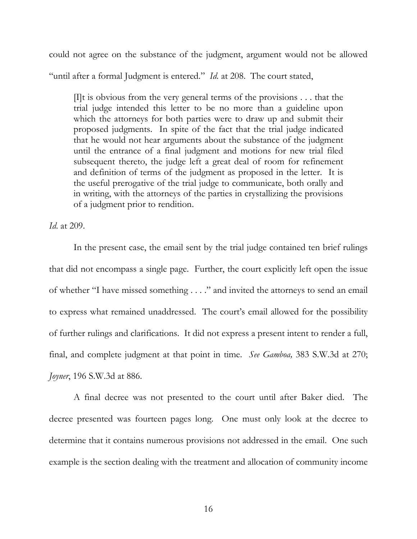could not agree on the substance of the judgment, argument would not be allowed "until after a formal Judgment is entered." *Id.* at 208. The court stated,

 $[]$ t is obvious from the very general terms of the provisions ... that the trial judge intended this letter to be no more than a guideline upon which the attorneys for both parties were to draw up and submit their proposed judgments. In spite of the fact that the trial judge indicated that he would not hear arguments about the substance of the judgment until the entrance of a final judgment and motions for new trial filed subsequent thereto, the judge left a great deal of room for refinement and definition of terms of the judgment as proposed in the letter. It is the useful prerogative of the trial judge to communicate, both orally and in writing, with the attorneys of the parties in crystallizing the provisions of a judgment prior to rendition.

*Id*. at 209.

In the present case, the email sent by the trial judge contained ten brief rulings that did not encompass a single page. Further, the court explicitly left open the issue of whether "I have missed something . . . ." and invited the attorneys to send an email to express what remained unaddressed. The court's email allowed for the possibility of further rulings and clarifications. It did not express a present intent to render a full, final, and complete judgment at that point in time. *See Gamboa,* 383 S.W.3d at 270; *Joyner*, 196 S.W.3d at 886.

A final decree was not presented to the court until after Baker died. The decree presented was fourteen pages long. One must only look at the decree to determine that it contains numerous provisions not addressed in the email. One such example is the section dealing with the treatment and allocation of community income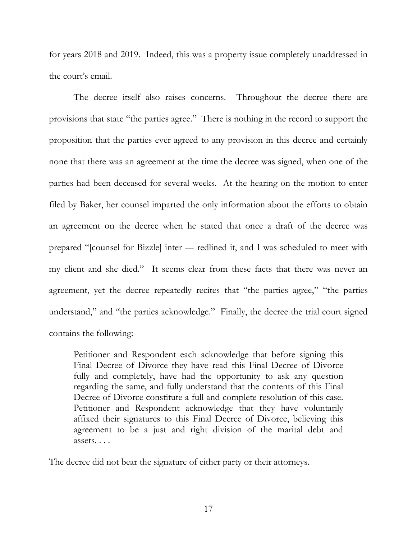for years 2018 and 2019. Indeed, this was a property issue completely unaddressed in the court's email.

The decree itself also raises concerns. Throughout the decree there are provisions that state "the parties agree." There is nothing in the record to support the proposition that the parties ever agreed to any provision in this decree and certainly none that there was an agreement at the time the decree was signed, when one of the parties had been deceased for several weeks. At the hearing on the motion to enter filed by Baker, her counsel imparted the only information about the efforts to obtain an agreement on the decree when he stated that once a draft of the decree was prepared "[counsel for Bizzle] inter --- redlined it, and I was scheduled to meet with my client and she died." It seems clear from these facts that there was never an agreement, yet the decree repeatedly recites that "the parties agree," "the parties understand," and "the parties acknowledge." Finally, the decree the trial court signed contains the following:

Petitioner and Respondent each acknowledge that before signing this Final Decree of Divorce they have read this Final Decree of Divorce fully and completely, have had the opportunity to ask any question regarding the same, and fully understand that the contents of this Final Decree of Divorce constitute a full and complete resolution of this case. Petitioner and Respondent acknowledge that they have voluntarily affixed their signatures to this Final Decree of Divorce, believing this agreement to be a just and right division of the marital debt and assets. . . .

The decree did not bear the signature of either party or their attorneys.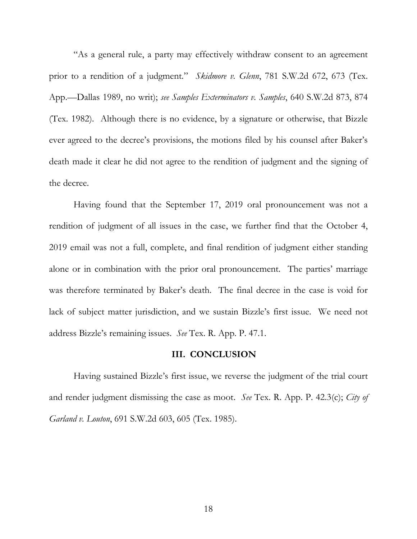"As a general rule, a party may effectively withdraw consent to an agreement prior to a rendition of a judgment." *Skidmore v. Glenn*, 781 S.W.2d 672, 673 (Tex. App.—Dallas 1989, no writ); *see Samples Exterminators v. Samples*, 640 S.W.2d 873, 874 (Tex. 1982). Although there is no evidence, by a signature or otherwise, that Bizzle ever agreed to the decree's provisions, the motions filed by his counsel after Baker's death made it clear he did not agree to the rendition of judgment and the signing of the decree.

Having found that the September 17, 2019 oral pronouncement was not a rendition of judgment of all issues in the case, we further find that the October 4, 2019 email was not a full, complete, and final rendition of judgment either standing alone or in combination with the prior oral pronouncement. The parties' marriage was therefore terminated by Baker's death. The final decree in the case is void for lack of subject matter jurisdiction, and we sustain Bizzle's first issue. We need not address Bizzle's remaining issues. *See* Tex. R. App. P. 47.1.

## **III. CONCLUSION**

Having sustained Bizzle's first issue, we reverse the judgment of the trial court and render judgment dismissing the case as moot. *See* Tex. R. App. P. 42.3(c); *City of Garland v. Louton*, 691 S.W.2d 603, 605 (Tex. 1985).